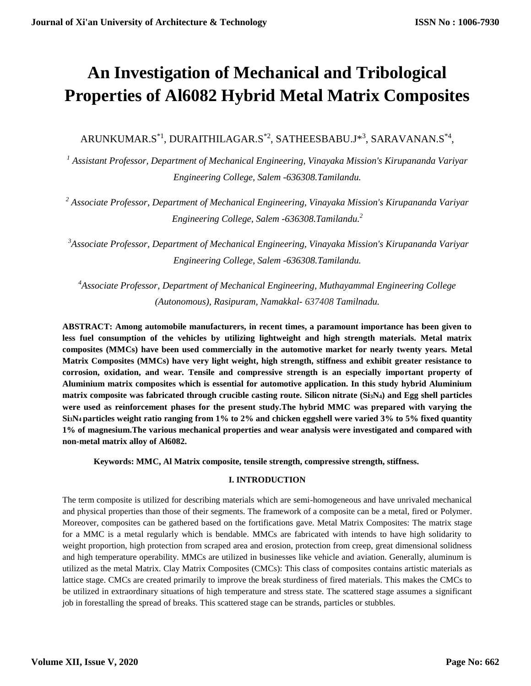# **An Investigation of Mechanical and Tribological Properties of Al6082 Hybrid Metal Matrix Composites**

 $\mathsf{ARUNKUMAR.S}^{*1}, \mathsf{DURATHILAGAR.S}^{*2}, \mathsf{SATHEESBABU.J}^{*3}, \mathsf{SARAVANAN.S}^{*4},$ 

*<sup>1</sup> Assistant Professor, Department of Mechanical Engineering, Vinayaka Mission's Kirupananda Variyar Engineering College, Salem -636308.Tamilandu.*

*<sup>2</sup> Associate Professor, Department of Mechanical Engineering, Vinayaka Mission's Kirupananda Variyar Engineering College, Salem -636308.Tamilandu.<sup>2</sup>*

*<sup>3</sup>Associate Professor, Department of Mechanical Engineering, Vinayaka Mission's Kirupananda Variyar Engineering College, Salem -636308.Tamilandu.*

*<sup>4</sup>Associate Professor, Department of Mechanical Engineering, Muthayammal Engineering College (Autonomous), Rasipuram, Namakkal- 637408 Tamilnadu.*

**ABSTRACT: Among automobile manufacturers, in recent times, a paramount importance has been given to less fuel consumption of the vehicles by utilizing lightweight and high strength materials. Metal matrix composites (MMCs) have been used commercially in the automotive market for nearly twenty years. Metal Matrix Composites (MMCs) have very light weight, high strength, stiffness and exhibit greater resistance to corrosion, oxidation, and wear. Tensile and compressive strength is an especially important property of Aluminium matrix composites which is essential for automotive application. In this study hybrid Aluminium matrix composite was fabricated through crucible casting route. Silicon nitrate (Si3N4) and Egg shell particles were used as reinforcement phases for the present study.The hybrid MMC was prepared with varying the Si3N4 particles weight ratio ranging from 1% to 2% and chicken eggshell were varied 3% to 5% fixed quantity 1% of magnesium.The various mechanical properties and wear analysis were investigated and compared with non-metal matrix alloy of Al6082.**

**Keywords: MMC, Al Matrix composite, tensile strength, compressive strength, stiffness.**

# **I. INTRODUCTION**

The term composite is utilized for describing materials which are semi-homogeneous and have unrivaled mechanical and physical properties than those of their segments. The framework of a composite can be a metal, fired or Polymer. Moreover, composites can be gathered based on the fortifications gave. Metal Matrix Composites: The matrix stage for a MMC is a metal regularly which is bendable. MMCs are fabricated with intends to have high solidarity to weight proportion, high protection from scraped area and erosion, protection from creep, great dimensional solidness and high temperature operability. MMCs are utilized in businesses like vehicle and aviation. Generally, aluminum is utilized as the metal Matrix. Clay Matrix Composites (CMCs): This class of composites contains artistic materials as lattice stage. CMCs are created primarily to improve the break sturdiness of fired materials. This makes the CMCs to be utilized in extraordinary situations of high temperature and stress state. The scattered stage assumes a significant job in forestalling the spread of breaks. This scattered stage can be strands, particles or stubbles.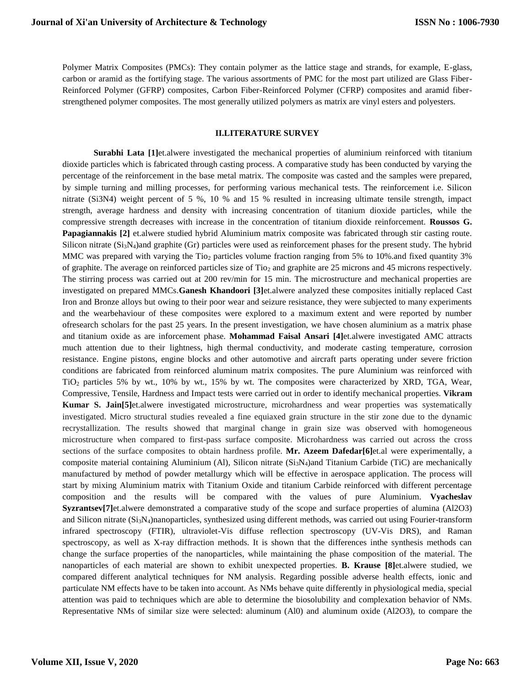Polymer Matrix Composites (PMCs): They contain polymer as the lattice stage and strands, for example, E-glass, carbon or aramid as the fortifying stage. The various assortments of PMC for the most part utilized are Glass Fiber-Reinforced Polymer (GFRP) composites, Carbon Fiber-Reinforced Polymer (CFRP) composites and aramid fiberstrengthened polymer composites. The most generally utilized polymers as matrix are vinyl esters and polyesters.

#### **II.LITERATURE SURVEY**

**Surabhi Lata [1]**et.alwere investigated the mechanical properties of aluminium reinforced with titanium dioxide particles which is fabricated through casting process. A comparative study has been conducted by varying the percentage of the reinforcement in the base metal matrix. The composite was casted and the samples were prepared, by simple turning and milling processes, for performing various mechanical tests. The reinforcement i.e. Silicon nitrate (Si3N4) weight percent of 5 %, 10 % and 15 % resulted in increasing ultimate tensile strength, impact strength, average hardness and density with increasing concentration of titanium dioxide particles, while the compressive strength decreases with increase in the concentration of titanium dioxide reinforcement. **Roussos G. Papagiannakis [2]** et.alwere studied hybrid Aluminium matrix composite was fabricated through stir casting route. Silicon nitrate  $(Si_3N_4)$ and graphite (Gr) particles were used as reinforcement phases for the present study. The hybrid MMC was prepared with varying the Tio<sub>2</sub> particles volume fraction ranging from 5% to 10%, and fixed quantity 3% of graphite. The average on reinforced particles size of Tio<sup>2</sup> and graphite are 25 microns and 45 microns respectively. The stirring process was carried out at 200 rev/min for 15 min. The microstructure and mechanical properties are investigated on prepared MMCs.**Ganesh Khandoori [3]**et.alwere analyzed these composites initially replaced Cast Iron and Bronze alloys but owing to their poor wear and seizure resistance, they were subjected to many experiments and the wearbehaviour of these composites were explored to a maximum extent and were reported by number ofresearch scholars for the past 25 years. In the present investigation, we have chosen aluminium as a matrix phase and titanium oxide as are inforcement phase. **Mohammad Faisal Ansari [4]**et.alwere investigated AMC attracts much attention due to their lightness, high thermal conductivity, and moderate casting temperature, corrosion resistance. Engine pistons, engine blocks and other automotive and aircraft parts operating under severe friction conditions are fabricated from reinforced aluminum matrix composites. The pure Aluminium was reinforced with TiO<sup>2</sup> particles 5% by wt., 10% by wt., 15% by wt. The composites were characterized by XRD, TGA, Wear, Compressive, Tensile, Hardness and Impact tests were carried out in order to identify mechanical properties. **Vikram Kumar S. Jain[5]**et.alwere investigated microstructure, microhardness and wear properties was systematically investigated. Micro structural studies revealed a fine equiaxed grain structure in the stir zone due to the dynamic recrystallization. The results showed that marginal change in grain size was observed with homogeneous microstructure when compared to first-pass surface composite. Microhardness was carried out across the cross sections of the surface composites to obtain hardness profile. **Mr. Azeem Dafedar[6]**et.al were experimentally, a composite material containing Aluminium (Al), Silicon nitrate  $(S_iS_N)$  and Titanium Carbide (TiC) are mechanically manufactured by method of powder metallurgy which will be effective in aerospace application. The process will start by mixing Aluminium matrix with Titanium Oxide and titanium Carbide reinforced with different percentage composition and the results will be compared with the values of pure Aluminium. **Vyacheslav Syzrantsev[7]**et.alwere demonstrated a comparative study of the scope and surface properties of alumina (Al2O3) and Silicon nitrate (Si<sub>3</sub>N<sub>4</sub>)nanoparticles, synthesized using different methods, was carried out using Fourier-transform infrared spectroscopy (FTIR), ultraviolet-Vis diffuse reflection spectroscopy (UV-Vis DRS), and Raman spectroscopy, as well as X-ray diffraction methods. It is shown that the differences inthe synthesis methods can change the surface properties of the nanoparticles, while maintaining the phase composition of the material. The nanoparticles of each material are shown to exhibit unexpected properties. **B. Krause [8]**et.alwere studied, we compared different analytical techniques for NM analysis. Regarding possible adverse health effects, ionic and particulate NM effects have to be taken into account. As NMs behave quite differently in physiological media, special attention was paid to techniques which are able to determine the biosolubility and complexation behavior of NMs. Representative NMs of similar size were selected: aluminum (Al0) and aluminum oxide (Al2O3), to compare the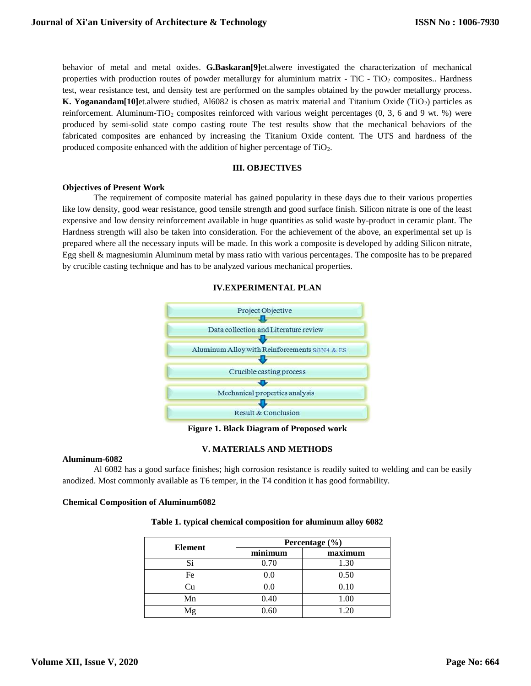behavior of metal and metal oxides. **G.Baskaran[9]**et.alwere investigated the characterization of mechanical properties with production routes of powder metallurgy for aluminium matrix - TiC - TiO<sub>2</sub> composites.. Hardness test, wear resistance test, and density test are performed on the samples obtained by the powder metallurgy process. **K. Yoganandam[10]**et.alwere studied, Al6082 is chosen as matrix material and Titanium Oxide (TiO<sub>2</sub>) particles as reinforcement. Aluminum-TiO<sub>2</sub> composites reinforced with various weight percentages  $(0, 3, 6, 6)$  were produced by semi-solid state compo casting route The test results show that the mechanical behaviors of the fabricated composites are enhanced by increasing the Titanium Oxide content. The UTS and hardness of the produced composite enhanced with the addition of higher percentage of TiO<sub>2</sub>.

### **III. OBJECTIVES**

#### **Objectives of Present Work**

The requirement of composite material has gained popularity in these days due to their various properties like low density, good wear resistance, good tensile strength and good surface finish. Silicon nitrate is one of the least expensive and low density reinforcement available in huge quantities as solid waste by-product in ceramic plant. The Hardness strength will also be taken into consideration. For the achievement of the above, an experimental set up is prepared where all the necessary inputs will be made. In this work a composite is developed by adding Silicon nitrate, Egg shell & magnesiumin Aluminum metal by mass ratio with various percentages. The composite has to be prepared by crucible casting technique and has to be analyzed various mechanical properties.

#### **IV.EXPERIMENTAL PLAN**



**Figure 1. Black Diagram of Proposed work**

#### **V. MATERIALS AND METHODS**

#### **Aluminum-6082**

Al 6082 has a good surface finishes; high corrosion resistance is readily suited to welding and can be easily anodized. Most commonly available as T6 temper, in the T4 condition it has good formability.

#### **Chemical Composition of Aluminum6082**

#### **Table 1. typical chemical composition for aluminum alloy 6082**

| Element | Percentage (%) |         |  |  |
|---------|----------------|---------|--|--|
|         | minimum        | maximum |  |  |
| Si      | 0.70           | 1.30    |  |  |
| Fe      | 0.0            | 0.50    |  |  |
|         | 0.0            | 0.10    |  |  |
| Mn      | 0.40           | 1.00    |  |  |
| Mg      | 0.60           | 1.20    |  |  |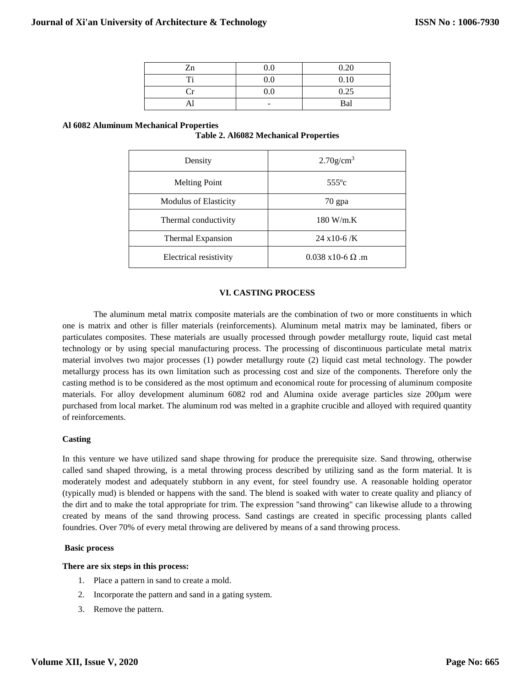| Zn | 0.0 | 0.20 |
|----|-----|------|
| m. | 0.0 | 0.10 |
|    | 0.0 | 0.25 |
| AП | -   | Bal  |

#### **Al 6082 Aluminum Mechanical Properties**

|  |  | <b>Table 2. Al6082 Mechanical Properties</b> |  |
|--|--|----------------------------------------------|--|
|--|--|----------------------------------------------|--|

| Density                      | $2.70$ g/cm <sup>3</sup>                  |  |
|------------------------------|-------------------------------------------|--|
| <b>Melting Point</b>         | $555^{\circ}c$                            |  |
| <b>Modulus of Elasticity</b> | 70 gpa                                    |  |
| Thermal conductivity         | $180$ W/m.K                               |  |
| <b>Thermal Expansion</b>     | $24 \times 10 - 6$ /K                     |  |
| Electrical resistivity       | $0.038 \text{ x} 10 - 6 \Omega \text{ m}$ |  |

#### **VI. CASTING PROCESS**

The aluminum metal matrix composite materials are the combination of two or more constituents in which one is matrix and other is filler materials (reinforcements). Aluminum metal matrix may be laminated, fibers or particulates composites. These materials are usually processed through powder metallurgy route, liquid cast metal technology or by using special manufacturing process. The processing of discontinuous particulate metal matrix material involves two major processes (1) powder metallurgy route (2) liquid cast metal technology. The powder metallurgy process has its own limitation such as processing cost and size of the components. Therefore only the casting method is to be considered as the most optimum and economical route for processing of aluminum composite materials. For alloy development aluminum 6082 rod and Alumina oxide average particles size 200 $\mu$ m were purchased from local market. The aluminum rod was melted in a graphite crucible and alloyed with required quantity of reinforcements.

#### **Casting**

In this venture we have utilized sand shape throwing for produce the prerequisite size. Sand throwing, otherwise called sand shaped throwing, is a metal throwing process described by utilizing sand as the form material. It is moderately modest and adequately stubborn in any event, for steel foundry use. A reasonable holding operator (typically mud) is blended or happens with the sand. The blend is soaked with water to create quality and pliancy of the dirt and to make the total appropriate for trim. The expression "sand throwing" can likewise allude to a throwing created by means of the sand throwing process. Sand castings are created in specific processing plants called foundries. Over 70% of every metal throwing are delivered by means of a sand throwing process.

#### **Basic process**

#### **There are six steps in this process:**

- 1. Place a [pattern](http://en.wikipedia.org/wiki/Pattern_%28casting%29) in sand to create a mold.
- 2. Incorporate the pattern and sand in a gating system.
- 3. Remove the pattern.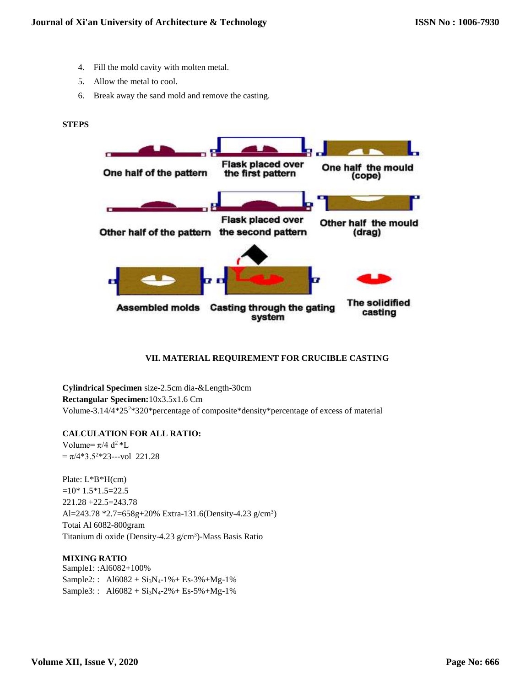- 4. Fill the mold cavity with molten metal.
- 5. Allow the metal to cool.
- 6. Break away the sand mold and remove the casting.

#### **STEPS**



#### **VII. MATERIAL REQUIREMENT FOR CRUCIBLE CASTING**

**Cylindrical Specimen** size-2.5cm dia-&Length-30cm **Rectangular Specimen:**10x3.5x1.6 Cm Volume-3.14/4\*25<sup>2</sup>\*320\*percentage of composite\*density\*percentage of excess of material

#### **CALCULATION FOR ALL RATIO:**

Volume=  $\pi/4$  d<sup>2</sup> \*L  $= \pi/4*3.5^{2*}23$ ---vol 221.28

Plate: L\*B\*H(cm)  $=10*1.5*1.5=22.5$ 221.28 +22.5=243.78 Al=243.78 \*2.7=658g+20% Extra-131.6(Density-4.23 g/cm<sup>3</sup>) Totai Al 6082-800gram Titanium di oxide (Density-4.23 g/cm<sup>3</sup>)-Mass Basis Ratio

### **MIXING RATIO**

Sample1: :Al6082+100% Sample2::  $A16082 + Si_3N_4-1% + Es-3% + Mg-1%$ Sample3::  $A16082 + Si_3N_4 - 2\% + Es_5\% + Mg_1\%$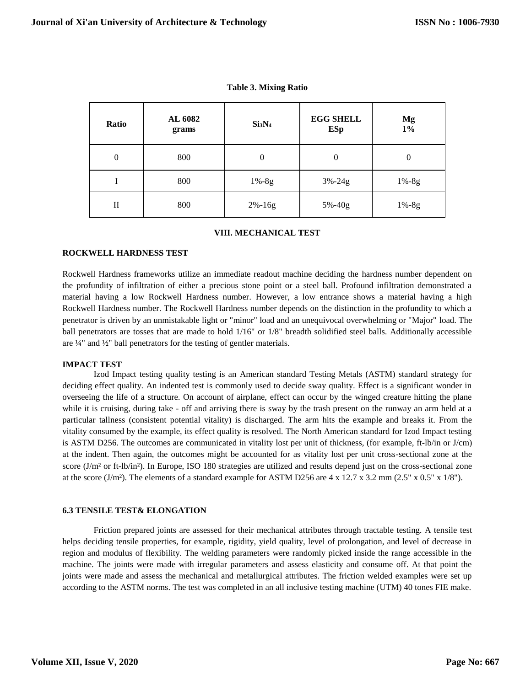| Ratio          | AL 6082<br>grams | Si <sub>3</sub> N <sub>4</sub> | <b>EGG SHELL</b><br>ESp | Mg<br>$1\%$ |  |
|----------------|------------------|--------------------------------|-------------------------|-------------|--|
| $\overline{0}$ | 800              | 0                              | 0                       | $\theta$    |  |
|                | 800              | $1% - 8g$                      | $3% - 24g$              | $1% - 8g$   |  |
| П              | 800              | $2% - 16g$                     | 5%-40g                  | $1% - 8g$   |  |

**Table 3. Mixing Ratio**

#### **VIII. MECHANICAL TEST**

#### **ROCKWELL HARDNESS TEST**

Rockwell Hardness frameworks utilize an immediate readout machine deciding the hardness number dependent on the profundity of infiltration of either a precious stone point or a steel ball. Profound infiltration demonstrated a material having a low Rockwell Hardness number. However, a low entrance shows a material having a high Rockwell Hardness number. The Rockwell Hardness number depends on the distinction in the profundity to which a penetrator is driven by an unmistakable light or "minor" load and an unequivocal overwhelming or "Major" load. The ball penetrators are tosses that are made to hold 1/16" or 1/8" breadth solidified steel balls. Additionally accessible are ¼" and ½" ball penetrators for the testing of gentler materials.

#### **IMPACT TEST**

Izod Impact testing quality testing is an American standard Testing Metals (ASTM) standard strategy for deciding effect quality. An indented test is commonly used to decide sway quality. Effect is a significant wonder in overseeing the life of a structure. On account of airplane, effect can occur by the winged creature hitting the plane while it is cruising, during take - off and arriving there is sway by the trash present on the runway an arm held at a particular tallness (consistent potential vitality) is discharged. The arm hits the example and breaks it. From the vitality consumed by the example, its effect quality is resolved. The North American standard for Izod Impact testing is ASTM D256. The outcomes are communicated in vitality lost per unit of thickness, (for example, ft-lb/in or J/cm) at the indent. Then again, the outcomes might be accounted for as vitality lost per unit cross-sectional zone at the score (J/m² or ft-lb/in²). In Europe, ISO 180 strategies are utilized and results depend just on the cross-sectional zone at the score (J/m²). The elements of a standard example for ASTM D256 are  $4 \times 12.7 \times 3.2 \text{ mm}$  (2.5"  $\times 0.5$ "  $\times 1/8$ ").

#### **6.3 TENSILE TEST& ELONGATION**

Friction prepared joints are assessed for their mechanical attributes through tractable testing. A tensile test helps deciding tensile properties, for example, rigidity, yield quality, level of prolongation, and level of decrease in region and modulus of flexibility. The welding parameters were randomly picked inside the range accessible in the machine. The joints were made with irregular parameters and assess elasticity and consume off. At that point the joints were made and assess the mechanical and metallurgical attributes. The friction welded examples were set up according to the ASTM norms. The test was completed in an all inclusive testing machine (UTM) 40 tones FIE make.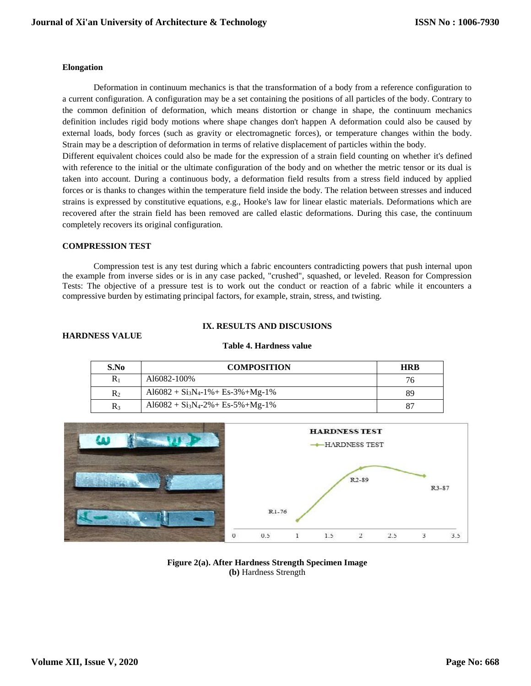#### **Elongation**

Deformation in continuum mechanics is that the transformation of a body from a reference configuration to a current configuration. A configuration may be a set containing the positions of all particles of the body. Contrary to the common definition of deformation, which means distortion or change in shape, the continuum mechanics definition includes rigid body motions where shape changes don't happen A deformation could also be caused by external loads, body forces (such as gravity or electromagnetic forces), or temperature changes within the body. Strain may be a description of deformation in terms of relative displacement of particles within the body.

Different equivalent choices could also be made for the expression of a strain field counting on whether it's defined with reference to the initial or the ultimate configuration of the body and on whether the metric tensor or its dual is taken into account. During a continuous body, a deformation field results from a stress field induced by applied forces or is thanks to changes within the temperature field inside the body. The relation between stresses and induced strains is expressed by constitutive equations, e.g., Hooke's law for linear elastic materials. Deformations which are recovered after the strain field has been removed are called elastic deformations. During this case, the continuum completely recovers its original configuration.

#### **COMPRESSION TEST**

Compression test is any test during which a fabric encounters contradicting powers that push internal upon the example from inverse sides or is in any case packed, "crushed", squashed, or leveled. Reason for Compression Tests: The objective of a pressure test is to work out the conduct or reaction of a fabric while it encounters a compressive burden by estimating principal factors, for example, strain, stress, and twisting.

## **IX. RESULTS AND DISCUSIONS**

#### **HARDNESS VALUE**

| S.No  | <b>COMPOSITION</b>                  | <b>HRB</b> |
|-------|-------------------------------------|------------|
| Rı    | Al6082-100%                         | 76         |
| $R_2$ | $Al6082 + Si3N4-1% + Es-3% + Mg-1%$ | 89         |
| $R_3$ | $Al6082 + Si3N4-2% + Es-5% + Mg-1%$ |            |

# **Table 4. Hardness value**



#### **Figure 2(a). After Hardness Strength Specimen Image (b)** Hardness Strength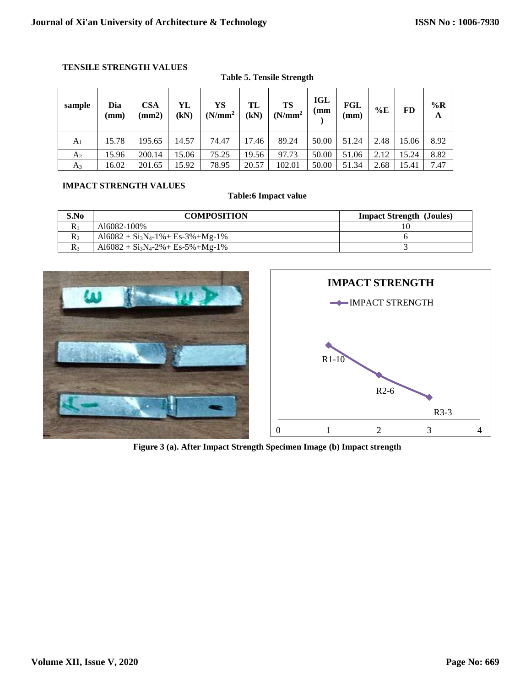# **TENSILE STRENGTH VALUES**

| sample         | Dia<br>(mm) | <b>CSA</b><br>$\text{nm2}$ | YL<br>(kN) | YS<br>(N/mm <sup>2</sup> ) | TL<br>(kN) | TS<br>(N/mm <sup>2</sup> ) | <b>IGL</b><br>(mm | FGL<br>(mm) | $\%E$ | FD    | $\%$ R<br>A |
|----------------|-------------|----------------------------|------------|----------------------------|------------|----------------------------|-------------------|-------------|-------|-------|-------------|
| A <sub>1</sub> | 15.78       | 195.65                     | 14.57      | 74.47                      | 17.46      | 89.24                      | 50.00             | 51.24       | 2.48  | 15.06 | 8.92        |
| A <sub>2</sub> | 15.96       | 200.14                     | 15.06      | 75.25                      | 19.56      | 97.73                      | 50.00             | 51.06       | 2.12  | 15.24 | 8.82        |
| $A_3$          | 16.02       | 201.65                     | 15.92      | 78.95                      | 20.57      | 102.01                     | 50.00             | 51.34       | 2.68  | 15.41 | 7.47        |

# **Table 5. Tensile Strength**

# **IMPACT STRENGTH VALUES**

**Table:6 Impact value**

| S.No         | <b>COMPOSITION</b>                  | <b>Impact Strength (Joules)</b> |
|--------------|-------------------------------------|---------------------------------|
| $R_1$        | A16082-100%                         |                                 |
| $\mathbf{R}$ | $Al6082 + Si3N4-1% + Es-3% + Mg-1%$ |                                 |
| $R_{3}$      | $Al6082 + Si3N4-2% + Es-5% + Mg-1%$ |                                 |





**Figure 3 (a). After Impact Strength Specimen Image (b) Impact strength**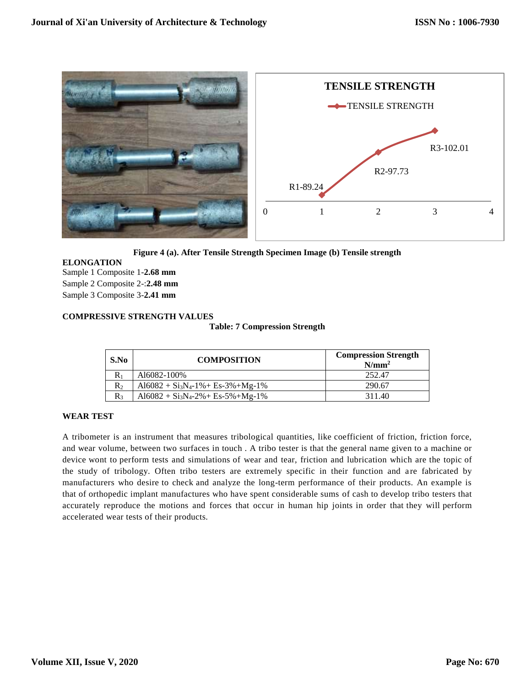

**Figure 4 (a). After Tensile Strength Specimen Image (b) Tensile strength**

# **ELONGATION**

Sample 1 Composite 1-**2.68 mm** Sample 2 Composite 2-:**2.48 mm** Sample 3 Composite 3-**2.41 mm**

# **COMPRESSIVE STRENGTH VALUES**

**Table: 7 Compression Strength**

| S.No  | <b>COMPOSITION</b>                  | <b>Compression Strength</b><br>$N/mm^2$ |
|-------|-------------------------------------|-----------------------------------------|
| $R_1$ | A16082-100%                         | 252.47                                  |
| $R_2$ | $Al6082 + Si3N4-1% + Es-3% + Mg-1%$ | 290.67                                  |
| $R_3$ | $Al6082 + Si3N4-2% + Es-5% + Mg-1%$ | 311.40                                  |

#### **WEAR TEST**

A tribometer is an instrument that measures tribological quantities, like coefficient of friction, friction force, and wear volume, between two surfaces in touch . A tribo tester is that the general name given to a machine or device wont to perform tests and simulations of wear and tear, friction and lubrication which are the topic of the study of tribology. Often tribo testers are extremely specific in their function and are fabricated by manufacturers who desire to check and analyze the long-term performance of their products. An example is that of orthopedic implant manufactures who have spent considerable sums of cash to develop tribo testers that accurately reproduce the motions and forces that occur in human hip joints in order that they will perform accelerated wear tests of their products.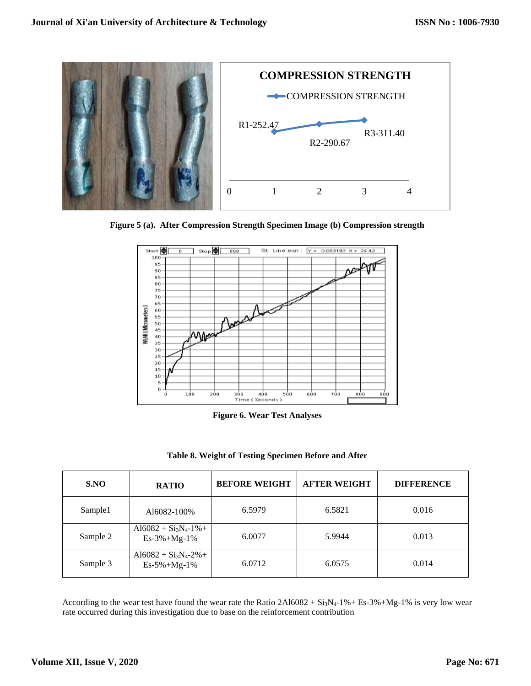

**Figure 5 (a). After Compression Strength Specimen Image (b) Compression strength**



**Figure 6. Wear Test Analyses**

| S.NO     | <b>RATIO</b>                             | <b>BEFORE WEIGHT</b> | <b>AFTER WEIGHT</b> | <b>DIFFERENCE</b> |
|----------|------------------------------------------|----------------------|---------------------|-------------------|
| Sample1  | A16082-100%                              | 6.5979               | 6.5821              | 0.016             |
| Sample 2 | $Al6082 + Si3N4-1% +$<br>$Es-3\%+Mg-1\%$ | 6.0077               | 5.9944              | 0.013             |
| Sample 3 | $Al6082 + Si3N4-2% +$<br>$Es-5\%+Mg-1\%$ | 6.0712               | 6.0575              | 0.014             |

According to the wear test have found the wear rate the Ratio  $2Al6082 + Si<sub>3</sub>N<sub>4</sub>-1% + Es<sub>3</sub>%+Mg-1%$  is very low wear rate occurred during this investigation due to base on the reinforcement contribution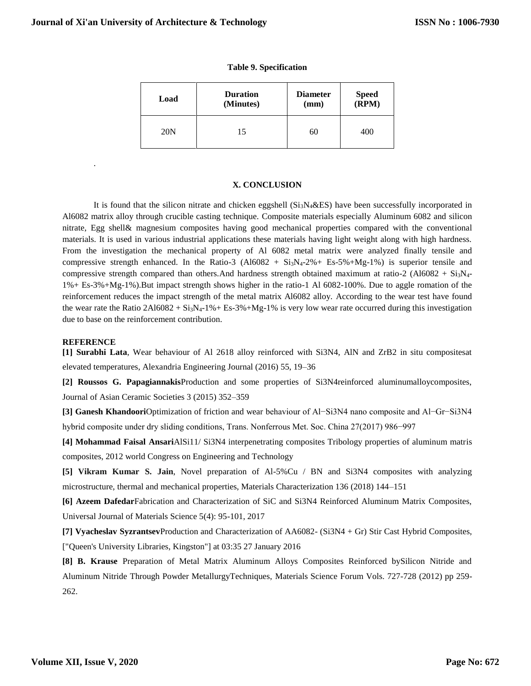|  |  |  | <b>Table 9. Specification</b> |
|--|--|--|-------------------------------|
|--|--|--|-------------------------------|

| Load            | <b>Duration</b><br>(Minutes) | <b>Diameter</b><br>(mm) | Speed<br>(RPM) |
|-----------------|------------------------------|-------------------------|----------------|
| 20 <sub>N</sub> | 15                           | 60                      | 400            |

#### **X. CONCLUSION**

It is found that the silicon nitrate and chicken eggshell  $(Si<sub>3</sub>N<sub>4</sub> \& ES)$  have been successfully incorporated in Al6082 matrix alloy through crucible casting technique. Composite materials especially Aluminum 6082 and silicon nitrate, Egg shell& magnesium composites having good mechanical properties compared with the conventional materials. It is used in various industrial applications these materials having light weight along with high hardness. From the investigation the mechanical property of Al 6082 metal matrix were analyzed finally tensile and compressive strength enhanced. In the Ratio-3 (Al6082 +  $Si_3N_4-2\%$  + Es-5%+Mg-1%) is superior tensile and compressive strength compared than others. And hardness strength obtained maximum at ratio-2 (Al6082 +  $Si<sub>3</sub>N<sub>4</sub>$ -1%+ Es-3%+Mg-1%).But impact strength shows higher in the ratio-1 Al 6082-100%. Due to aggle romation of the reinforcement reduces the impact strength of the metal matrix Al6082 alloy. According to the wear test have found the wear rate the Ratio  $2Al6082 + Si<sub>3</sub>N<sub>4</sub>-1% + Es<sub>3</sub>%+Mg<sub>2</sub>-1%$  is very low wear rate occurred during this investigation due to base on the reinforcement contribution.

#### **REFERENCE**

.

**[1] Surabhi Lata**, Wear behaviour of Al 2618 alloy reinforced with Si3N4, AlN and ZrB2 in situ compositesat elevated temperatures, Alexandria Engineering Journal (2016) 55, 19–36

**[2] Roussos G. Papagiannakis**Production and some properties of Si3N4reinforced aluminumalloycomposites, Journal of Asian Ceramic Societies 3 (2015) 352–359

**[3] Ganesh Khandoori**Optimization of friction and wear behaviour of Al−Si3N4 nano composite and Al−Gr−Si3N4 hybrid composite under dry sliding conditions, Trans. Nonferrous Met. Soc. China 27(2017) 986−997

**[4] Mohammad Faisal Ansari**AlSi11/ Si3N4 interpenetrating composites Tribology properties of aluminum matris composites, 2012 world Congress on Engineering and Technology

**[5] Vikram Kumar S. Jain**, Novel preparation of Al-5%Cu / BN and Si3N4 composites with analyzing microstructure, thermal and mechanical properties, Materials Characterization 136 (2018) 144–151

**[6] Azeem Dafedar**Fabrication and Characterization of SiC and Si3N4 Reinforced Aluminum Matrix Composites, Universal Journal of Materials Science 5(4): 95-101, 2017

**[7] Vyacheslav Syzrantsev**Production and Characterization of AA6082- (Si3N4 + Gr) Stir Cast Hybrid Composites, ["Queen's University Libraries, Kingston"] at 03:35 27 January 2016

**[8] B. Krause** Preparation of Metal Matrix Aluminum Alloys Composites Reinforced bySilicon Nitride and Aluminum Nitride Through Powder MetallurgyTechniques, Materials Science Forum Vols. 727-728 (2012) pp 259- 262.